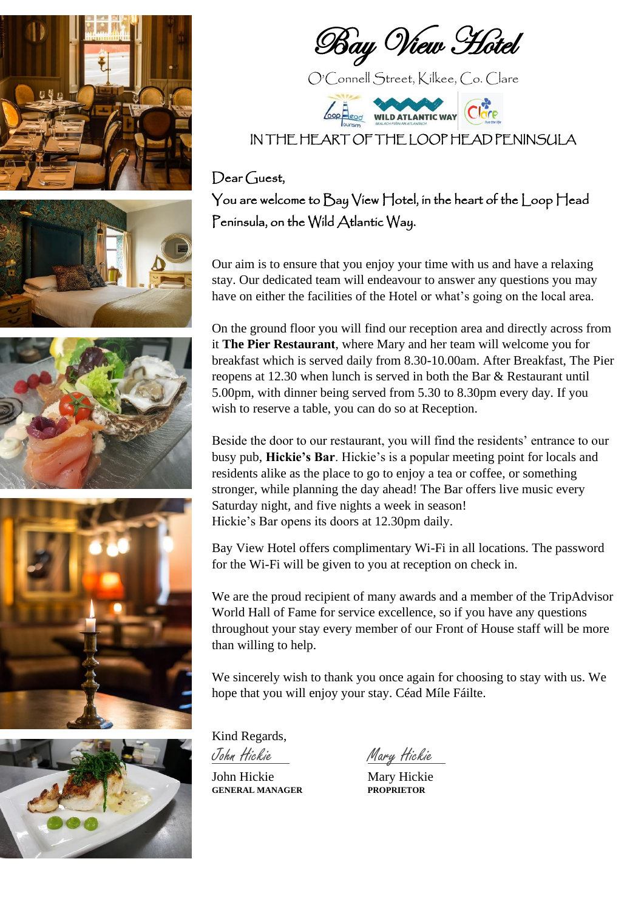









Bay View Hotel

O'Connell Street, Kilkee, Co. Clare



IN THE HEART OF THE LOOP HEAD PENINSULA

### $Dear Guest$

You are welcome to Bay View Hotel, in the heart of the Loop Head Peninsula, on the Wild Atlantic Way.

Our aim is to ensure that you enjoy your time with us and have a relaxing stay. Our dedicated team will endeavour to answer any questions you may have on either the facilities of the Hotel or what's going on the local area.

On the ground floor you will find our reception area and directly across from it **The Pier Restaurant**, where Mary and her team will welcome you for breakfast which is served daily from 8.30-10.00am. After Breakfast, The Pier reopens at 12.30 when lunch is served in both the Bar & Restaurant until 5.00pm, with dinner being served from 5.30 to 8.30pm every day. If you wish to reserve a table, you can do so at Reception.

Beside the door to our restaurant, you will find the residents' entrance to our busy pub, **Hickie's Bar**. Hickie's is a popular meeting point for locals and residents alike as the place to go to enjoy a tea or coffee, or something stronger, while planning the day ahead! The Bar offers live music every Saturday night, and five nights a week in season! Hickie's Bar opens its doors at 12.30pm daily.

Bay View Hotel offers complimentary Wi-Fi in all locations. The password for the Wi-Fi will be given to you at reception on check in.

We are the proud recipient of many awards and a member of the TripAdvisor World Hall of Fame for service excellence, so if you have any questions throughout your stay every member of our Front of House staff will be more than willing to help.

We sincerely wish to thank you once again for choosing to stay with us. We hope that you will enjoy your stay. Céad Míle Fáilte.

Kind Regards,

John Hickie Mary Hickie<br>GENERAL MANAGER PROPRIETOR **GENERAL MANAGER PROPRIETOR**

John Hickie Mary Hickie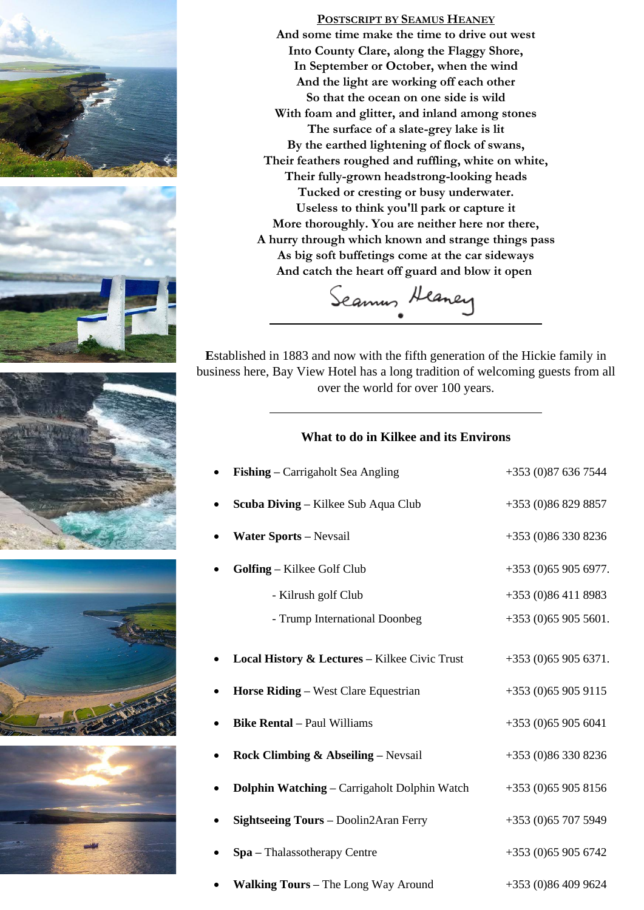







**E**stablished in 1883 and now with the fifth generation of the Hickie family in business here, Bay View Hotel has a long tradition of welcoming guests from all over the world for over 100 years.

#### **What to do in Kilkee and its Environs**

| Fishing – Carrigaholt Sea Angling                        | +353 (0)87 636 7544  |
|----------------------------------------------------------|----------------------|
| Scuba Diving - Kilkee Sub Aqua Club                      | +353 (0)86 829 8857  |
| <b>Water Sports - Nevsail</b>                            | +353 (0)86 330 8236  |
| Golfing - Kilkee Golf Club                               | $+353(0)659056977.$  |
| - Kilrush golf Club                                      | $+353(0)864118983$   |
| - Trump International Doonbeg                            | $+353(0)659055601.$  |
| <b>Local History &amp; Lectures - Kilkee Civic Trust</b> | $+353(0)659056371.$  |
| <b>Horse Riding – West Clare Equestrian</b>              | $+353(0)659059115$   |
| <b>Bike Rental - Paul Williams</b>                       | +353 (0)65 905 6041  |
| <b>Rock Climbing &amp; Abseiling – Nevsail</b>           | +353 (0)86 330 8236  |
| Dolphin Watching – Carrigaholt Dolphin Watch             | $+353(0)659058156$   |
| <b>Sightseeing Tours - Doolin2Aran Ferry</b>             | +353 (0) 65 707 5949 |
| Spa - Thalassotherapy Centre                             | $+353(0)659056742$   |
| Walking Tours - The Long Way Around                      | +353 (0)86 409 9624  |





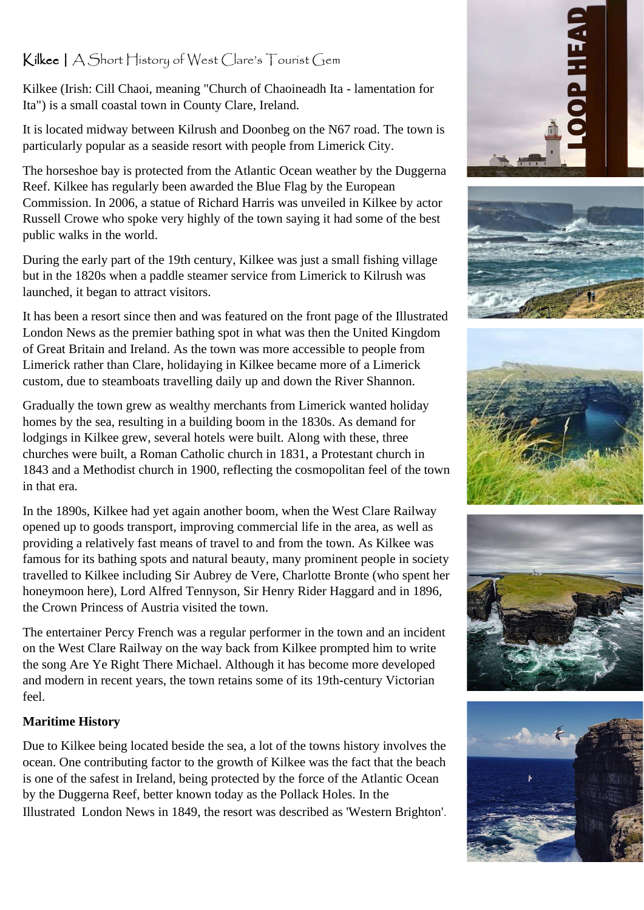## Kilkee | A Short History of West Clare's Tourist Gem

Kilkee (Irish: Cill Chaoi, meaning "Church of Chaoineadh Ita - lamentation for Ita") is a small coastal town in County Clare, Ireland.

It is located midway between Kilrush and Doonbeg on the N67 road. The town is particularly popular as a seaside resort with people from Limerick City.

The horseshoe bay is protected from the Atlantic Ocean weather by the Duggerna Reef. Kilkee has regularly been awarded the Blue Flag by the European Commission. In 2006, a statue of Richard Harris was unveiled in Kilkee by actor Russell Crowe who spoke very highly of the town saying it had some of the best public walks in the world.

During the early part of the 19th century, Kilkee was just a small fishing village but in the 1820s when a paddle steamer service from Limerick to Kilrush was launched, it began to attract visitors.

It has been a resort since then and was featured on the front page of the Illustrated London News as the premier bathing spot in what was then the United Kingdom of Great Britain and Ireland. As the town was more accessible to people from Limerick rather than Clare, holidaying in Kilkee became more of a Limerick custom, due to steamboats travelling daily up and down the River Shannon.

Gradually the town grew as wealthy merchants from Limerick wanted holiday homes by the sea, resulting in a building boom in the 1830s. As demand for lodgings in Kilkee grew, several hotels were built. Along with these, three churches were built, a Roman Catholic church in 1831, a Protestant church in 1843 and a Methodist church in 1900, reflecting the cosmopolitan feel of the town in that era.

In the 1890s, Kilkee had yet again another boom, when the West Clare Railway opened up to goods transport, improving commercial life in the area, as well as providing a relatively fast means of travel to and from the town. As Kilkee was famous for its bathing spots and natural beauty, many prominent people in society travelled to Kilkee including Sir Aubrey de Vere, Charlotte Bronte (who spent her honeymoon here), Lord Alfred Tennyson, Sir Henry Rider Haggard and in 1896, the Crown Princess of Austria visited the town.

The entertainer Percy French was a regular performer in the town and an incident on the West Clare Railway on the way back from Kilkee prompted him to write the song Are Ye Right There Michael. Although it has become more developed and modern in recent years, the town retains some of its 19th-century Victorian feel.

#### **Maritime History**

Due to Kilkee being located beside the sea, a lot of the towns history involves the ocean. One contributing factor to the growth of Kilkee was the fact that the beach is one of the safest in Ireland, being protected by the force of the Atlantic Ocean by the Duggerna Reef, better known today as the Pollack Holes. In the Illustrated London News in 1849, the resort was described as 'Western Brighton'.